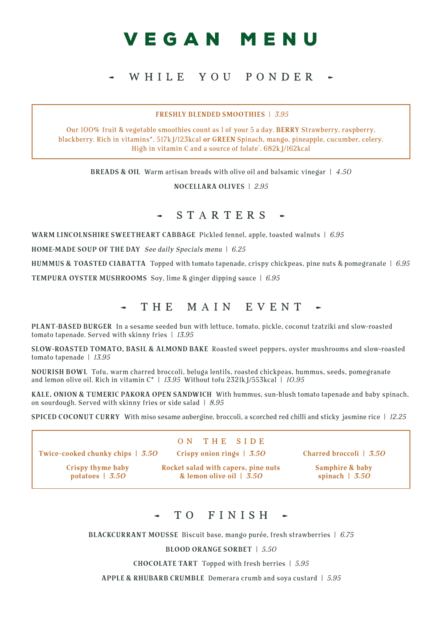# VEGAN MENU

## WHILE YOU PONDER

#### FRESHLY BLENDED SMOOTHIES | 3.95

Our 100**%** fruit & vegetable smoothies count as 1 of your 5 a day. BE RRY Strawberry, raspberry, blackberry. Rich in vitamins\*. 517kJ/123kcal or GREEN Spinach, mango, pineapple, cucumber, celery. High in vitamin C and a source of folate\* . 682kJ/162kcal

**BREADS & OIL** Warm artisan breads with olive oil and balsamic vinegar  $| 4.50$ 

NOCELLARA OLIVES | 2.95

#### STARTERS

WARM LINCOLNSHIRE SWEETHEART CABBAGE Pickled fennel, apple, toasted walnuts  $\mid$  6.95

HOME-MADE SOUP OF THE DAY See daily Specials menu  $\mid$  6.25

HUMMUS & TOASTED CIABATTA Topped with tomato tapenade, crispy chickpeas, pine nuts & pomegranate  $\mid 6.95$ 

TEMPURA OYSTER MUSHROOMS Soy, lime & ginger dipping sauce | 6.95

### THE MAIN EVENT -

PLANT-BASED BURGER In a sesame seeded bun with lettuce, tomato, pickle, coconut tzatziki and slow-roasted tomato tapenade. Served with skinny fries | 13.95

SLOW-ROASTED TOMATO, BASIL & ALMOND BAKE Roasted sweet peppers, oyster mushrooms and slow-roasted tomato tapenade | 13.95

NOURISH BOWL Tofu, warm charred broccoli, beluga lentils, roasted chickpeas, hummus, seeds, pomegranate and lemon olive oil. Rich in vitamin  $C^*$  | 13.95 Without tofu 2321kJ/553kcal | 10.95

KALE, ONION & TUMERIC PAKORA OPEN SANDWICH With hummus, sun-blush tomato tapenade and baby spinach, on sourdough. Served with skinny fries or side salad  $|8.95\rangle$ 

SPICED COCONUT CURRY With miso sesame aubergine, broccoli, a scorched red chilli and sticky jasmine rice | 12.25

Twice-cooked chunky chips | 3.50

ON THE SIDE Crispy onion rings | 3.50

Crispy thyme baby potatoes | 3.50

Rocket salad with capers, pine nuts & lemon olive oil  $\overline{3.50}$ 

Charred broccoli | 3.50

Samphire & baby spinach  $\vert$  3.50

### TO FINISH

BLACKCURRANT MOUSSE Biscuit base, mango purée, fresh strawberries  $\mid$  6.75

BLOOD ORANGE SORBET | 5.50

CHOCOLATE TART Topped with fresh berries  $\vert 5.95 \rangle$ 

APPLE & RHUBARB CRUMBLE Demerara crumb and soya custard | 5.95